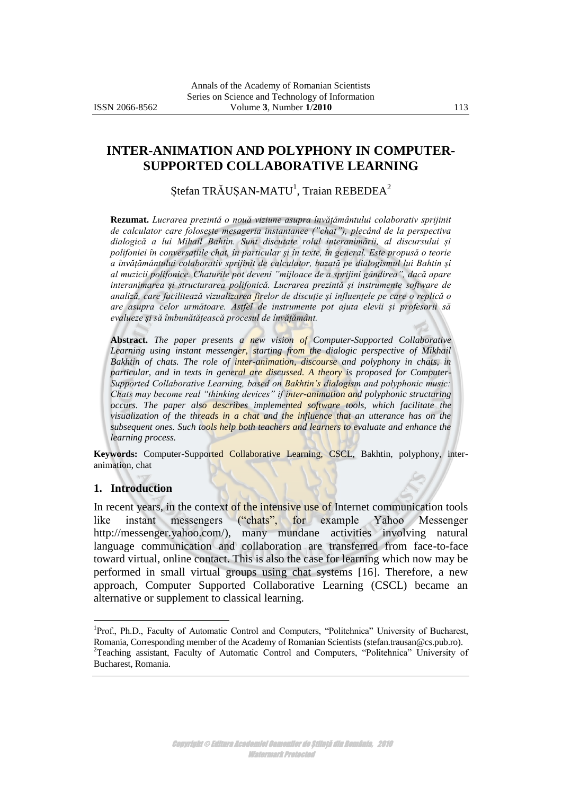# **INTER-ANIMATION AND POLYPHONY IN COMPUTER-SUPPORTED COLLABORATIVE LEARNING**

Ștefan TRĂUȘAN-MATU<sup>1</sup>, Traian REBEDEA<sup>2</sup>

**Rezumat.** *Lucrarea prezintă o nouă viziune asupra învățământului colaborativ sprijinit de calculator care folosește mesageria instantanee ("chat"), plecând de la perspectiva dialogică a lui Mihail Bahtin. Sunt discutate rolul interanimării, al discursului și polifoniei în conversațiile chat, în particular și în texte, în general. Este propusă o teorie a învățământului colaborativ sprijinit de calculator, bazată pe dialogismul lui Bahtin și al muzicii polifonice. Chaturile pot deveni "mijloace de a sprijini gândirea", dacă apare interanimarea și structurarea polifonică. Lucrarea prezintă și instrumente software de analiză, care facilitează vizualizarea firelor de discuție și influențele pe care o replică o are asupra celor următoare. Astfel de instrumente pot ajuta elevii și profesorii să evalueze și să îmbunătățească procesul de învățământ.*

**Abstract.** *The paper presents a new vision of Computer-Supported Collaborative Learning using instant messenger, starting from the dialogic perspective of Mikhail*  Bakhtin of chats. The role of *inter-animation*, discourse and polyphony in chats, in *particular, and in texts in general are discussed. A theory is proposed for Computer-Supported Collaborative Learning, based on Bakhtin's dialogism and polyphonic music: Chats may become real "thinking devices" if inter-animation and polyphonic structuring occurs. The paper also describes implemented software tools, which facilitate the visualization of the threads in a chat and the influence that an utterance has on the subsequent ones. Such tools help both teachers and learners to evaluate and enhance the learning process.* 

**Keywords:** Computer-Supported Collaborative Learning, CSCL, Bakhtin, polyphony, interanimation, chat

### **1. Introduction**

 $\overline{a}$ 

In recent years, in the context of the intensive use of Internet communication tools like instant messengers ("chats", for example Yahoo Messenger http://messenger.yahoo.com/), many mundane activities involving natural language communication and collaboration are transferred from face-to-face toward virtual, online contact. This is also the case for learning which now may be performed in small virtual groups using chat systems [16]. Therefore, a new approach, Computer Supported Collaborative Learning (CSCL) became an alternative or supplement to classical learning.

<sup>&</sup>lt;sup>1</sup>Prof., Ph.D., Faculty of Automatic Control and Computers, "Politehnica" University of Bucharest, Romania, Corresponding member of the Academy of Romanian Scientists (stefan.trausan@cs.pub.ro). <sup>2</sup>Teaching assistant, Faculty of Automatic Control and Computers, "Politehnica" University of Bucharest, Romania.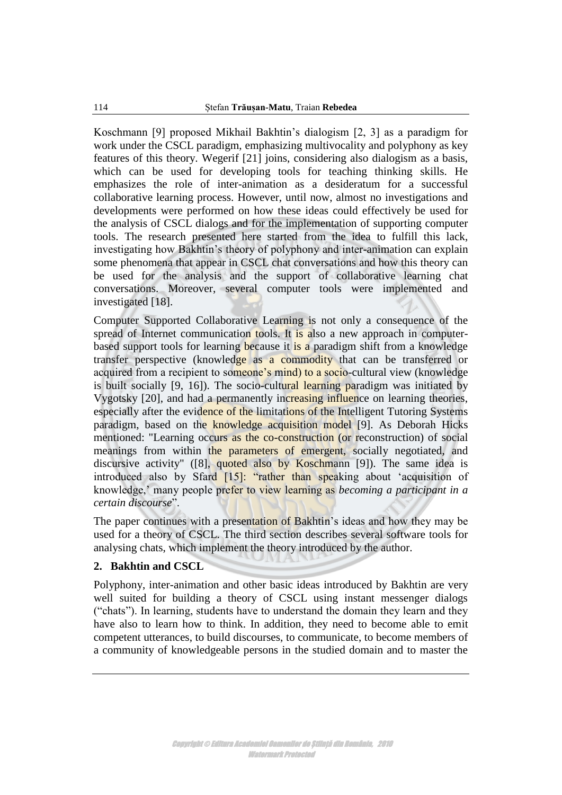Koschmann [9] proposed Mikhail Bakhtin"s dialogism [2, 3] as a paradigm for work under the CSCL paradigm, emphasizing multivocality and polyphony as key features of this theory. Wegerif [21] joins, considering also dialogism as a basis, which can be used for developing tools for teaching thinking skills. He emphasizes the role of inter-animation as a desideratum for a successful collaborative learning process. However, until now, almost no investigations and developments were performed on how these ideas could effectively be used for the analysis of CSCL dialogs and for the implementation of supporting computer tools. The research presented here started from the idea to fulfill this lack, investigating how Bakhtin"s theory of polyphony and inter-animation can explain some phenomena that appear in CSCL chat conversations and how this theory can be used for the analysis and the support of collaborative learning chat conversations. Moreover, several computer tools were implemented and investigated [18].

Computer Supported Collaborative Learning is not only a consequence of the spread of Internet communication tools. It is also a new approach in computerbased support tools for learning because it is a paradigm shift from a knowledge transfer perspective (knowledge as a commodity that can be transferred or acquired from a recipient to someone's mind) to a socio-cultural view (knowledge is built socially [9, 16]). The socio-cultural learning paradigm was initiated by Vygotsky [20], and had a permanently increasing influence on learning theories, especially after the evidence of the limitations of the Intelligent Tutoring Systems paradigm, based on the knowledge acquisition model [9]. As Deborah Hicks mentioned: "Learning occurs as the co-construction (or reconstruction) of social meanings from within the parameters of emergent, socially negotiated, and discursive activity" ([8], quoted also by Koschmann [9]). The same idea is introduced also by Sfard [15]: "rather than speaking about 'acquisition of knowledge," many people prefer to view learning as *becoming a participant in a certain discourse*".

The paper continues with a presentation of Bakhtin's ideas and how they may be used for a theory of CSCL. The third section describes several software tools for analysing chats, which implement the theory introduced by the author.

## **2. Bakhtin and CSCL**

Polyphony, inter-animation and other basic ideas introduced by Bakhtin are very well suited for building a theory of CSCL using instant messenger dialogs ("chats"). In learning, students have to understand the domain they learn and they have also to learn how to think. In addition, they need to become able to emit competent utterances, to build discourses, to communicate, to become members of a community of knowledgeable persons in the studied domain and to master the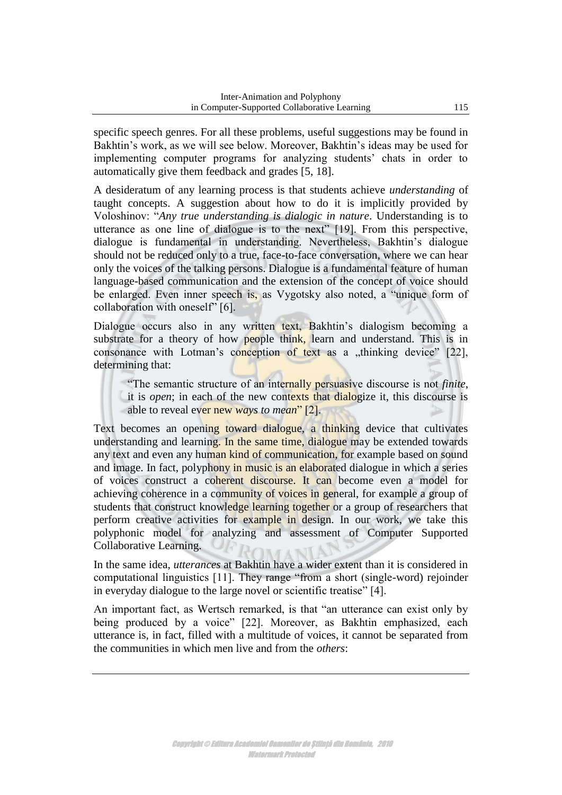specific speech genres. For all these problems, useful suggestions may be found in Bakhtin's work, as we will see below. Moreover, Bakhtin's ideas may be used for implementing computer programs for analyzing students' chats in order to automatically give them feedback and grades [5, 18].

A desideratum of any learning process is that students achieve *understanding* of taught concepts. A suggestion about how to do it is implicitly provided by Voloshinov: "*Any true understanding is dialogic in nature*. Understanding is to utterance as one line of dialogue is to the next" [19]. From this perspective, dialogue is fundamental in understanding. Nevertheless, Bakhtin"s dialogue should not be reduced only to a true, face-to-face conversation, where we can hear only the voices of the talking persons. Dialogue is a fundamental feature of human language-based communication and the extension of the concept of voice should be enlarged. Even inner speech is, as Vygotsky also noted, a "unique form of collaboration with oneself" [6].

Dialogue occurs also in any written text, Bakhtin's dialogism becoming a substrate for a theory of how people think, learn and understand. This is in consonance with Lotman's conception of text as a "thinking device"  $[22]$ , determining that:

"The semantic structure of an internally persuasive discourse is not *finite*, it is *open*; in each of the new contexts that dialogize it, this discourse is able to reveal ever new *ways to mean*" [2].

Text becomes an opening toward dialogue, a thinking device that cultivates understanding and learning. In the same time, dialogue may be extended towards any text and even any human kind of communication, for example based on sound and image. In fact, polyphony in music is an elaborated dialogue in which a series of voices construct a coherent discourse. It can become even a model for achieving coherence in a community of voices in general, for example a group of students that construct knowledge learning together or a group of researchers that perform creative activities for example in design. In our work, we take this polyphonic model for analyzing and assessment of Computer Supported Collaborative Learning. MAN

In the same idea, *utterances* at Bakhtin have a wider extent than it is considered in computational linguistics [11]. They range "from a short (single-word) rejoinder in everyday dialogue to the large novel or scientific treatise" [4].

An important fact, as Wertsch remarked, is that "an utterance can exist only by being produced by a voice" [22]. Moreover, as Bakhtin emphasized, each utterance is, in fact, filled with a multitude of voices, it cannot be separated from the communities in which men live and from the *others*: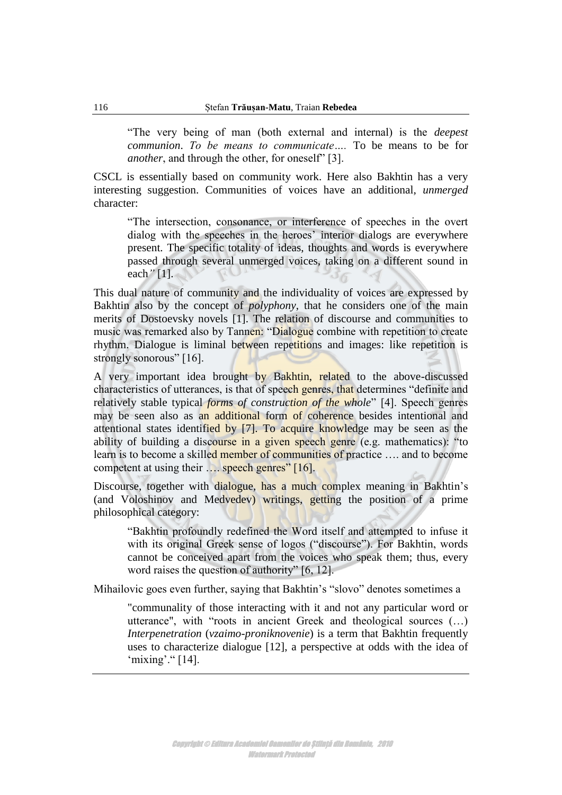"The very being of man (both external and internal) is the *deepest communion*. *To be means to communicate….* To be means to be for *another*, and through the other, for oneself" [3].

CSCL is essentially based on community work. Here also Bakhtin has a very interesting suggestion. Communities of voices have an additional, *unmerged* character:

"The intersection, consonance, or interference of speeches in the overt dialog with the speeches in the heroes' interior dialogs are everywhere present. The specific totality of ideas, thoughts and words is everywhere passed through several unmerged voices, taking on a different sound in each*"* [1].

This dual nature of community and the individuality of voices are expressed by Bakhtin also by the concept of *polyphony*, that he considers one of the main merits of Dostoevsky novels [1]. The relation of discourse and communities to music was remarked also by Tannen: "Dialogue combine with repetition to create rhythm. Dialogue is liminal between repetitions and images: like repetition is strongly sonorous" [16].

A very important idea brought by Bakhtin, related to the above-discussed characteristics of utterances, is that of speech genres, that determines "definite and relatively stable typical *forms of construction of the whole*" [4]. Speech genres may be seen also as an additional form of coherence besides intentional and attentional states identified by [7]. To acquire knowledge may be seen as the ability of building a discourse in a given speech genre (e.g. mathematics): "to learn is to become a skilled member of communities of practice …. and to become competent at using their .... speech genres" [16].

Discourse, together with dialogue, has a much complex meaning in Bakhtin's (and Voloshinov and Medvedev) writings, getting the position of a prime philosophical category:

"Bakhtin profoundly redefined the Word itself and attempted to infuse it with its original Greek sense of logos ("discourse"). For Bakhtin, words cannot be conceived apart from the voices who speak them; thus, every word raises the question of authority" [6, 12].

Mihailovic goes even further, saying that Bakhtin's "slovo" denotes sometimes a

"communality of those interacting with it and not any particular word or utterance", with "roots in ancient Greek and theological sources (…) *Interpenetration* (*vzaimo-proniknovenie*) is a term that Bakhtin frequently uses to characterize dialogue [12], a perspective at odds with the idea of 'mixing'."  $[14]$ .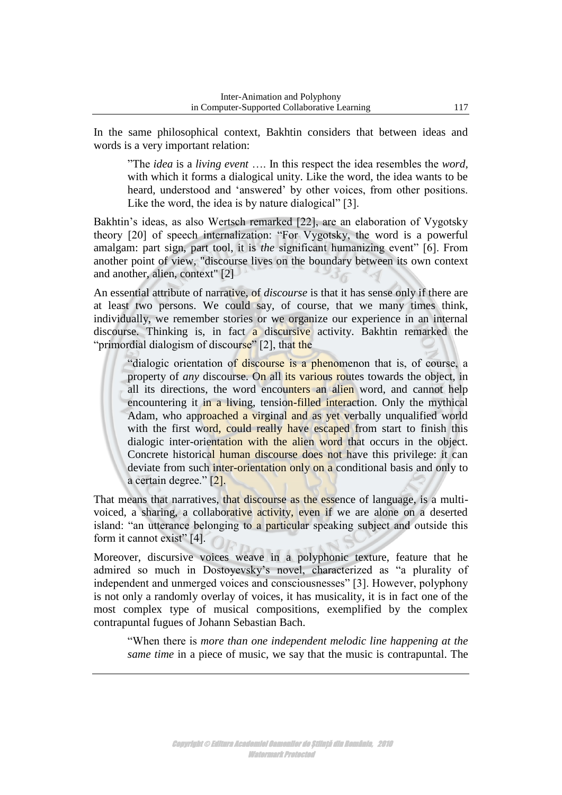In the same philosophical context, Bakhtin considers that between ideas and words is a very important relation:

"The *idea* is a *living event* …. In this respect the idea resembles the *word,* with which it forms a dialogical unity. Like the word, the idea wants to be heard, understood and "answered" by other voices, from other positions. Like the word, the idea is by nature dialogical" [3].

Bakhtin's ideas, as also Wertsch remarked [22], are an elaboration of Vygotsky theory [20] of speech internalization: "For Vygotsky, the word is a powerful amalgam: part sign, part tool, it is *the* significant humanizing event" [6]. From another point of view, "discourse lives on the boundary between its own context and another, alien, context" [2]

An essential attribute of narrative, of *discourse* is that it has sense only if there are at least two persons. We could say, of course, that we many times think, individually, we remember stories or we organize our experience in an internal discourse. Thinking is, in fact a discursive activity. Bakhtin remarked the "primordial dialogism of discourse" [2], that the

"dialogic orientation of discourse is a phenomenon that is, of course, a property of *any* discourse. On all its various routes towards the object, in all its directions, the word encounters an alien word, and cannot help encountering it in a living, tension-filled interaction. Only the mythical Adam, who approached a virginal and as yet verbally unqualified world with the first word, could really have escaped from start to finish this dialogic inter-orientation with the alien word that occurs in the object. Concrete historical human discourse does not have this privilege: it can deviate from such inter-orientation only on a conditional basis and only to a certain degree." [2].

That means that narratives, that discourse as the essence of language, is a multivoiced, a sharing, a collaborative activity, even if we are alone on a deserted island: "an utterance belonging to a particular speaking subject and outside this form it cannot exist" [4].

Moreover, discursive voices weave in a polyphonic texture, feature that he admired so much in Dostoyevsky"s novel, characterized as "a plurality of independent and unmerged voices and consciousnesses" [3]. However, polyphony is not only a randomly overlay of voices, it has musicality, it is in fact one of the most complex type of musical compositions, exemplified by the complex contrapuntal fugues of Johann Sebastian Bach.

"When there is *more than one independent melodic line happening at the same time* in a piece of music, we say that the music is contrapuntal. The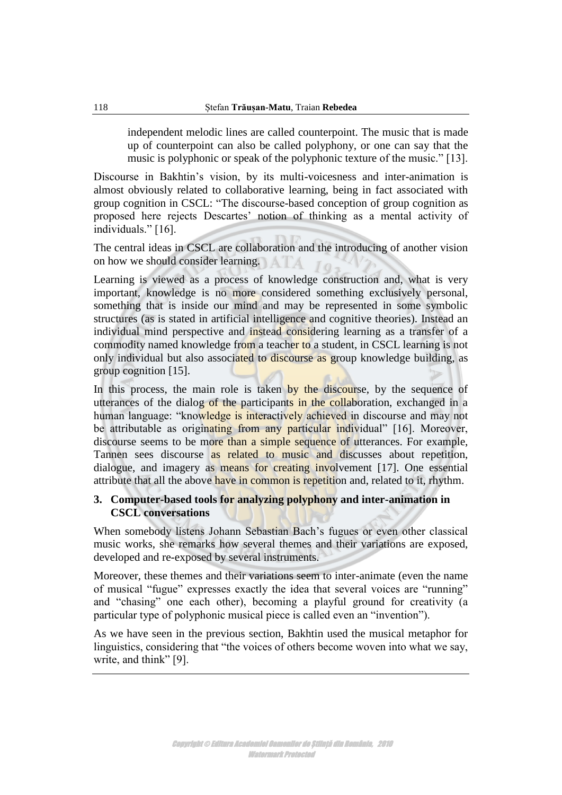independent melodic lines are called counterpoint. The music that is made up of counterpoint can also be called polyphony, or one can say that the music is polyphonic or speak of the polyphonic texture of the music." [13].

Discourse in Bakhtin's vision, by its multi-voicesness and inter-animation is almost obviously related to collaborative learning, being in fact associated with group cognition in CSCL: "The discourse-based conception of group cognition as proposed here rejects Descartes' notion of thinking as a mental activity of individuals." [16].

The central ideas in CSCL are collaboration and the introducing of another vision on how we should consider learning.

Learning is viewed as a process of knowledge construction and, what is very important, knowledge is no more considered something exclusively personal, something that is inside our mind and may be represented in some symbolic structures (as is stated in artificial intelligence and cognitive theories). Instead an individual mind perspective and instead considering learning as a transfer of a commodity named knowledge from a teacher to a student, in CSCL learning is not only individual but also associated to discourse as group knowledge building, as group cognition [15].

In this process, the main role is taken by the discourse, by the sequence of utterances of the dialog of the participants in the collaboration, exchanged in a human language: "knowledge is interactively achieved in discourse and may not be attributable as originating from any particular individual" [16]. Moreover, discourse seems to be more than a simple sequence of utterances. For example, Tannen sees discourse as related to music and discusses about repetition, dialogue, and imagery as means for creating involvement [17]. One essential attribute that all the above have in common is repetition and, related to it, rhythm.

## **3. Computer-based tools for analyzing polyphony and inter-animation in CSCL conversations**

When somebody listens Johann Sebastian Bach's fugues or even other classical music works, she remarks how several themes and their variations are exposed, developed and re-exposed by several instruments.

Moreover, these themes and their variations seem to inter-animate (even the name of musical "fugue" expresses exactly the idea that several voices are "running" and "chasing" one each other), becoming a playful ground for creativity (a particular type of polyphonic musical piece is called even an "invention").

As we have seen in the previous section, Bakhtin used the musical metaphor for linguistics, considering that "the voices of others become woven into what we say, write, and think" [9].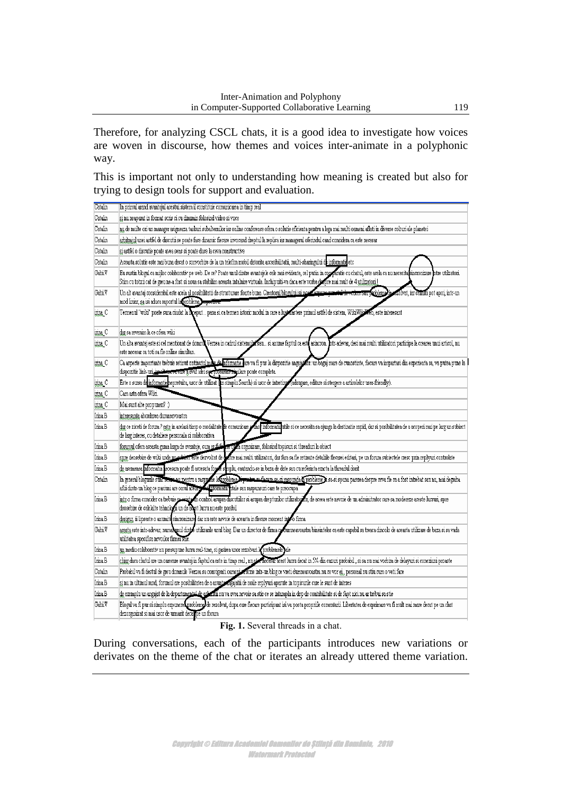Therefore, for analyzing CSCL chats, it is a good idea to investigate how voices are woven in discourse, how themes and voices inter-animate in a polyphonic way.

This is important not only to understanding how meaning is created but also for trying to design tools for support and evaluation.

| Catalin | In primul arand avantajul acestui sistem il constituie comunicarea in timp real                                                                                                                                                                                                                                                                                    |
|---------|--------------------------------------------------------------------------------------------------------------------------------------------------------------------------------------------------------------------------------------------------------------------------------------------------------------------------------------------------------------------|
| Catalin | si nu neaparat in format scris ci cu dinamin folosind video si voce                                                                                                                                                                                                                                                                                                |
| Catalin | nu de multe ori un manager asigneaza taskuri subalternilor iar online conference ofera o solutie eficienta pentru a lega mai multi oameni aflati in diverse colturi ale planetei                                                                                                                                                                                   |
| Catalin | arbitrajul unei astfel de discutii se poate face dinamic fiecare invocand dreptul la replica iar managerul oferindul cand considera ca este necesar                                                                                                                                                                                                                |
| Catalin | si astfel o discutie poate avea sens si poate duce la ceva constructive                                                                                                                                                                                                                                                                                            |
| Catalin | Aceasta solutie este mai buna decat o convorbire de la un telefon mobil datorita accesibilitatii, multi-sharingului d <b>e</b> informatie etc                                                                                                                                                                                                                      |
| Gabi.V  | Eu sustin blogul ca mijloc colaborativ pe web. De ce? Poate unul dintre avantajele cele mai evidente, cel putin in comparatie cu chatul, este acela ca nu necesita sincronizare intre utilizatori.<br>Stim cu totzii cat de greu ne-a fost si noua sa stabilim aceasta intalnire virtuala. Inchipuiti-va daca este vorba despre mai mult de 4 <u>utilizatori l</u> |
| Gabi.V  | Un alt avantaj considerabil este acela <u>al p</u> osibilitatii de structurare foarte buna. Creator <u>ul blogului isi nostas propres presetel</u><br>sau kuolemade.<br>folvat, iar ceilaití pot apoi, intr-un<br>mod liniar, sa isi aduca raportul la problema bopoctiva.                                                                                         |
| inna C  | Termenul "wiki" poate suna ciudat la hoeput pana si ca termen istoric modul in care a lust mastere primul astfel de sistem, WikiWikiWeb, este interesant                                                                                                                                                                                                           |
| ima C   | dar sa revenim la ce ofera wiki                                                                                                                                                                                                                                                                                                                                    |
| inna C  | Un alta avantaj este si cel mentionat de domnu<br>Verzea in cadrul sistemular sau… si anume faptul ca est( asincron. Intr-adevar, desi mai multi utilizatori participa la crearea unui articol, nu<br>este necesar ca toti sa fie online simultan.                                                                                                                 |
| inna C  | Ca aspecte importante trebuie retinut ontinutul mae de informatie dare va fi pus la dispozitie angajator: un bagaj mare de cunostinte, fiecare va impartasi din experienta sa, va putea pune la<br>dispozitie link-un, isselle in voicete à avut idei sex propierae sayulare poate completa.                                                                       |
| ima C   | Este o sursa de informatie nepretuita, usor de utilizat (un simplu Search) si usor de intretinge adaugare, editare si stergere a articolelor user-friendly).                                                                                                                                                                                                       |
| ina C   | Cam asta ofera Wiki.                                                                                                                                                                                                                                                                                                                                               |
| inna C  | Mai sunt alte propuneri? :)                                                                                                                                                                                                                                                                                                                                        |
| Irina B | interesanta abordarea dumneavoastra                                                                                                                                                                                                                                                                                                                                |
| Irina.B | dar ce ziceti de forum ? este in acelasi timp o modalitate de comunicare<br>mo <b>r</b> informatii utile si ce necesita sa ajunga la destinatie rapid, dar si posibilitatea de a acoperi mai pe larg un subiect<br>de larg interes, cu detaliere personala si colaborativa                                                                                         |
| Inna B  |                                                                                                                                                                                                                                                                                                                                                                    |
| Irina.B | forumul ofera aceasta gama larga de avantaje, cum ar fi se este de posarizare, folosind topicuri si threaduri la obiect<br>spre deosebire de wiki unde un subscribit de poste mai multi utilizatori, dar fara sa fie retinute det                                                                                                                                  |
| Irina B | de asemenea nformatia lecesara poate fi accesata fosse simplu, cautandu-se in baza de date sau cu referinta exacta la threadul dorit                                                                                                                                                                                                                               |
| Catalin | In general blogurile sunt string any mentru a raspudie la probleme. Technical facers ca.si raspunda & probleme it sa si spuna parerea despre ceva fie ca a fost intrebat sau nu, mai degraba<br>aflii dintr-un blog ce pasiuni are omul acela you unformatu vitale sau raspunsuri care te preocupa                                                                 |
| Inna B  | intr-o firma consider ca trebuie se evisto no control asupra discutiilor si asupra drepturilor utilizatorior, de aceea este nevoie de un adminitrator care sa modereze aceste lucruri, spre<br>deosebire de celelalte tehnologii un de abest lucru nu este posibil                                                                                                 |
| Irina B | desigur, ii lipseste o anumita sincronizare dar nu este nevoie de aceasta in fiecare moment into o firma                                                                                                                                                                                                                                                           |
| Gabi.V  | acesta este intr-adevar, numa unul dinte utilizarile unul blog. Dar un director de firma co duraneavoastra bineinteles ca este capabil sa treaca dincolo de aceasta utilizare de baza si sa vada<br>utilitatea specifica nevoilor firmei sale.                                                                                                                     |
| Irina.B | un mediu colaborativ nu presupune lucru real-time, si gasirea unor rezolvari la problemele jale                                                                                                                                                                                                                                                                    |
| Irina.B | chiar daca chatul are un oarecare avantaj in faptul ca este in timp real, nu store necesar acest lucru decat in 5% din cazuri probabil, si sa nu mai vorbim de delayuri si conexiuni prosste                                                                                                                                                                       |
| Catalin | Probabil va fi destul de greu domnule Verzea sa convigenti oamenierscrie intr-un blog ce vreti dumneavoastra nu ce vor ei , personal nu stiu cum o veti face                                                                                                                                                                                                       |
| Irina.B | si nu in ultimul rand, forumul are posibilitatea de a anunte mgajatii de noile replyuri aparute in topicurile care le sunt de interes                                                                                                                                                                                                                              |
| Irina B | de exemplu un angajat de la departamentul de solutiu nu va avea nevoie sa stie ce se intampla in dep de contabilitate si de fapt nici nu ar trebui sa stie                                                                                                                                                                                                         |
| Gabi.V  | Blogul va fi pur si simplu expunere probleme de rezolvat, dupa care fiecare participant isi va posta propriile comentarii. Libertatea de exprimare va fi mult mai mare decat pe un chat<br>dezorganizat si mai usor de urmarit decar pe un forum                                                                                                                   |

#### Fig. 1. Several threads in a chat.

During conversations, each of the participants introduces new variations or derivates on the theme of the chat or iterates an already uttered theme variation.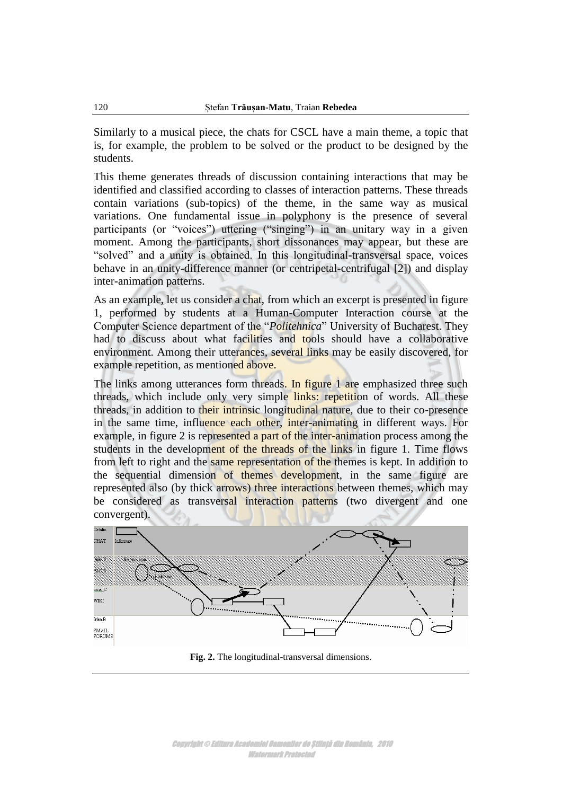Similarly to a musical piece, the chats for CSCL have a main theme, a topic that is, for example, the problem to be solved or the product to be designed by the students.

This theme generates threads of discussion containing interactions that may be identified and classified according to classes of interaction patterns. These threads contain variations (sub-topics) of the theme, in the same way as musical variations. One fundamental issue in polyphony is the presence of several participants (or "voices") uttering ("singing") in an unitary way in a given moment. Among the participants, short dissonances may appear, but these are "solved" and a unity is obtained. In this longitudinal-transversal space, voices behave in an unity-difference manner (or centripetal-centrifugal [2]) and display inter-animation patterns.

As an example, let us consider a chat, from which an excerpt is presented in figure 1, performed by students at a Human-Computer Interaction course at the Computer Science department of the "*Politehnica*" University of Bucharest. They had to discuss about what facilities and tools should have a collaborative environment. Among their utterances, several links may be easily discovered, for example repetition, as mentioned above.

The links among utterances form threads. In figure 1 are emphasized three such threads, which include only very simple links: repetition of words. All these threads, in addition to their intrinsic longitudinal nature, due to their co-presence in the same time, influence each other, inter-animating in different ways. For example, in figure 2 is represented a part of the inter-animation process among the students in the development of the threads of the links in figure 1. Time flows from left to right and the same representation of the themes is kept. In addition to the sequential dimension of themes development, in the same figure are represented also (by thick arrows) three interactions between themes, which may be considered as transversal interaction patterns (two divergent and one convergent).



**Fig. 2.** The longitudinal-transversal dimensions.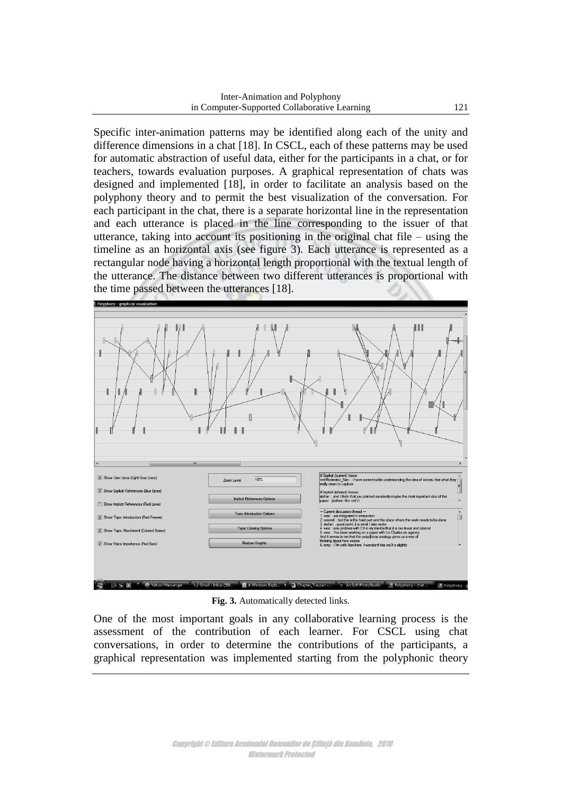Specific inter-animation patterns may be identified along each of the unity and difference dimensions in a chat [18]. In CSCL, each of these patterns may be used for automatic abstraction of useful data, either for the participants in a chat, or for teachers, towards evaluation purposes. A graphical representation of chats was designed and implemented [18], in order to facilitate an analysis based on the polyphony theory and to permit the best visualization of the conversation. For each participant in the chat, there is a separate horizontal line in the representation and each utterance is placed in the line corresponding to the issuer of that utterance, taking into account its positioning in the original chat file – using the timeline as an horizontal axis (see figure 3). Each utterance is represented as a rectangular node having a horizontal length proportional with the textual length of the utterance. The distance between two different utterances is proportional with the time passed between the utterances [18].



**Fig. 3.** Automatically detected links.

One of the most important goals in any collaborative learning process is the assessment of the contribution of each learner. For CSCL using chat conversations, in order to determine the contributions of the participants, a graphical representation was implemented starting from the polyphonic theory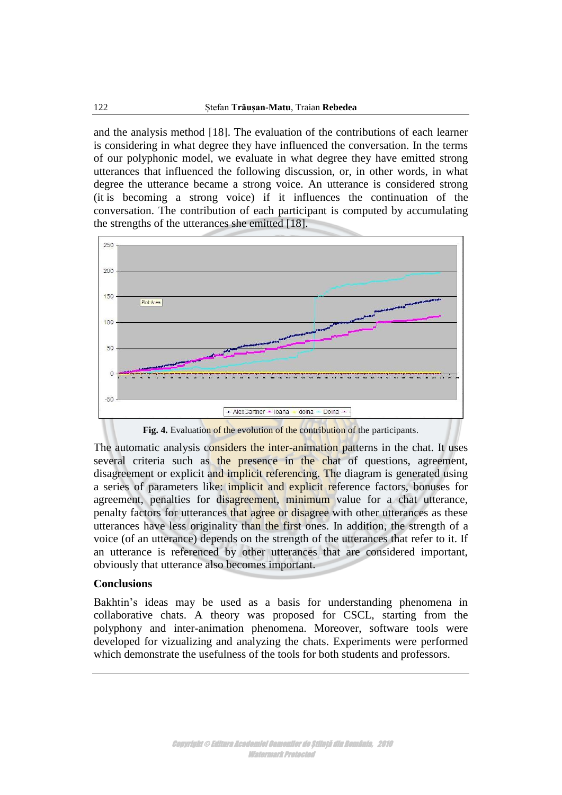and the analysis method [18]. The evaluation of the contributions of each learner is considering in what degree they have influenced the conversation. In the terms of our polyphonic model, we evaluate in what degree they have emitted strong utterances that influenced the following discussion, or, in other words, in what degree the utterance became a strong voice. An utterance is considered strong (it is becoming a strong voice) if it influences the continuation of the conversation. The contribution of each participant is computed by accumulating the strengths of the utterances she emitted [18].



Fig. 4. Evaluation of the evolution of the contribution of the participants.

The automatic analysis considers the inter-animation patterns in the chat. It uses several criteria such as the presence in the chat of questions, agreement, disagreement or explicit and implicit referencing. The diagram is generated using a series of parameters like: implicit and explicit reference factors, bonuses for agreement, penalties for disagreement, minimum value for a chat utterance, penalty factors for utterances that agree or disagree with other utterances as these utterances have less originality than the first ones. In addition, the strength of a voice (of an utterance) depends on the strength of the utterances that refer to it. If an utterance is referenced by other utterances that are considered important, obviously that utterance also becomes important.

## **Conclusions**

Bakhtin's ideas may be used as a basis for understanding phenomena in collaborative chats. A theory was proposed for CSCL, starting from the polyphony and inter-animation phenomena. Moreover, software tools were developed for vizualizing and analyzing the chats. Experiments were performed which demonstrate the usefulness of the tools for both students and professors.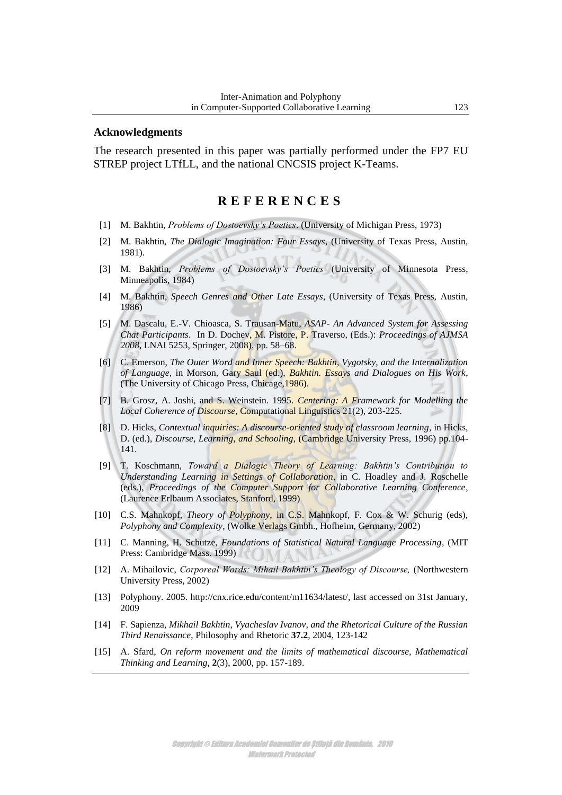#### **Acknowledgments**

The research presented in this paper was partially performed under the FP7 EU STREP project LTfLL, and the national CNCSIS project K-Teams.

# **R E F E R E N C E S**

- [1] M. Bakhtin, *Problems of Dostoevsky's Poetics*. (University of Michigan Press, 1973)
- [2] M. Bakhtin, *The Dialogic Imagination: Four Essays*, (University of Texas Press, Austin, 1981).
- [3] M. Bakhtin, *Problems of Dostoevsky's Poetics* (University of Minnesota Press, Minneapolis, 1984)
- [4] M. Bakhtin, *Speech Genres and Other Late Essays*, (University of Texas Press, Austin, 1986)
- [5] M. Dascalu, E.-V. Chioasca, S. Trausan-Matu, *ASAP- An Advanced System for Assessing Chat Participants*. In D. Dochev, M. Pistore, P. Traverso, (Eds.): *Proceedings of AJMSA 2008*, LNAI 5253, Springer, 2008), pp. 58–68.
- [6] C. Emerson, *The Outer Word and Inner Speech: Bakhtin, Vygotsky, and the Internalization of Language*, in Morson, Gary Saul (ed.), *Bakhtin. Essays and Dialogues on His Work*, (The University of Chicago Press, Chicage,1986).
- [7] B. Grosz, A. Joshi, and S. Weinstein. 1995. *Centering: A Framework for Modelling the Local Coherence of Discourse*, Computational Linguistics 21(2), 203-225.
- [8] D. Hicks, *Contextual inquiries: A discourse-oriented study of classroom learning*, in Hicks, D. (ed.), *Discourse, Learning, and Schooling*, (Cambridge University Press, 1996) pp.104- 141.
- [9] T. Koschmann, *Toward a Dialogic Theory of Learning: Bakhtin's Contribution to Understanding Learning in Settings of Collaboration*, in C. Hoadley and J. Roschelle (eds.), *Proceedings of the Computer Support for Collaborative Learning Conference*, (Laurence Erlbaum Associates, Stanford, 1999)
- [10] C.S. Mahnkopf, *Theory of Polyphony*, in C.S. Mahnkopf, F. Cox & W. Schurig (eds), *Polyphony and Complexity*, (Wolke Verlags Gmbh., Hofheim, Germany, 2002)
- [11] C. Manning, H. Schutze, *Foundations of Statistical Natural Language Processing*, (MIT Press: Cambridge Mass. 1999)
- [12] A. Mihailovic, *Corporeal Words: Mihail Bakhtin's Theology of Discourse,* (Northwestern University Press, 2002)
- [13] Polyphony. 2005. http://cnx.rice.edu/content/m11634/latest/, last accessed on 31st January, 2009
- [14] F. Sapienza, *Mikhail Bakhtin, Vyacheslav Ivanov, and the Rhetorical Culture of the Russian Third Renaissance*, Philosophy and Rhetoric **37.2**, 2004, 123-142
- [15] A. Sfard, *On reform movement and the limits of mathematical discourse, Mathematical Thinking and Learning*, **2**(3), 2000, pp. 157-189.